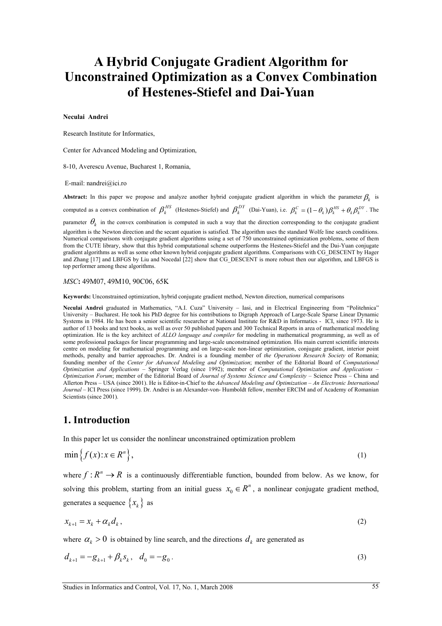# **A Hybrid Conjugate Gradient Algorithm for Unconstrained Optimization as a Convex Combination of Hestenes-Stiefel and Dai-Yuan**

#### **Neculai Andrei**

Research Institute for Informatics,

Center for Advanced Modeling and Optimization,

8-10, Averescu Avenue, Bucharest 1, Romania,

E-mail: nandrei@ici.ro

**Abstract:** In this paper we propose and analyze another hybrid conjugate gradient algorithm in which the parameter  $\beta_k$  is computed as a convex combination of  $\beta_k^{HS}$  (Hestenes-Stiefel) and  $\beta_k^{DY}$  (Dai-Yuan), i.e.  $\beta_k^C = (1 - \theta_k) \beta_k^{HS} + \theta_k \beta_k^{DY}$ . The

parameter  $\theta_k$  in the convex combination is computed in such a way that the direction corresponding to the conjugate gradient

algorithm is the Newton direction and the secant equation is satisfied. The algorithm uses the standard Wolfe line search conditions. Numerical comparisons with conjugate gradient algorithms using a set of 750 unconstrained optimization problems, some of them from the CUTE library, show that this hybrid computational scheme outperforms the Hestenes-Stiefel and the Dai-Yuan conjugate gradient algorithms as well as some other known hybrid conjugate gradient algorithms. Comparisons with CG\_DESCENT by Hager and Zhang [17] and LBFGS by Liu and Nocedal [22] show that CG\_DESCENT is more robust then our algorithm, and LBFGS is top performer among these algorithms.

*MSC***:** 49M07, 49M10, 90C06, 65K

**Keywords:** Unconstrained optimization, hybrid conjugate gradient method, Newton direction, numerical comparisons

**Neculai Andrei** graduated in Mathematics, "A.I. Cuza" University – Iasi, and in Electrical Engineering from "Politehnica" University – Bucharest. He took his PhD degree for his contributions to Digraph Approach of Large-Scale Sparse Linear Dynamic Systems in 1984. He has been a senior scientific researcher at National Institute for R&D in Informatics - ICI, since 1973. He is author of 13 books and text books, as well as over 50 published papers and 300 Technical Reports in area of mathematical modeling optimization. He is the key architect of *ALLO language and compiler* for modeling in mathematical programming, as well as of some professional packages for linear programming and large-scale unconstrained optimization. His main current scientific interests centre on modeling for mathematical programming and on large-scale non-linear optimization, conjugate gradient, interior point methods, penalty and barrier approaches. Dr. Andrei is a founding member of *the Operations Research Society* of Romania; founding member of the *Center for Advanced Modeling and Optimization*; member of the Editorial Board of *Computational Optimization and Applications* – Springer Verlag (since 1992); member of *Computational Optimization and Applications – Optimization Forum*; member of the Editorial Board of *Journal of Systems Science and Complexity* – Science Press – China and Allerton Press – USA (since 2001). He is Editor-in-Chief to the *Advanced Modeling and Optimization – An Electronic International Journal* – ICI Press (since 1999). Dr. Andrei is an Alexander-von- Humboldt fellow, member ERCIM and of Academy of Romanian Scientists (since 2001).

#### **1. Introduction**

In this paper let us consider the nonlinear unconstrained optimization problem

$$
\min\left\{f(x):x\in R^n\right\},\tag{1}
$$

where  $f: R^n \to R$  is a continuously differentiable function, bounded from below. As we know, for solving this problem, starting from an initial guess  $x_0 \in R^n$ , a nonlinear conjugate gradient method, generates a sequence  $\{x_k\}$  as

$$
x_{k+1} = x_k + \alpha_k d_k, \qquad (2)
$$

where  $\alpha_k > 0$  is obtained by line search, and the directions  $d_k$  are generated as

$$
d_{k+1} = -g_{k+1} + \beta_k s_k, \quad d_0 = -g_0.
$$
\n(3)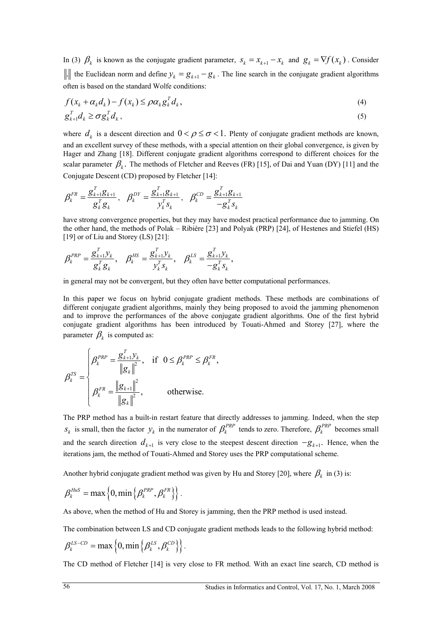In (3)  $\beta_k$  is known as the conjugate gradient parameter,  $s_k = x_{k+1} - x_k$  and  $g_k = \nabla f(x_k)$ . Consider . It is Euclidean norm and define  $y_k = g_{k+1} - g_k$ . The line search in the conjugate gradient algorithms often is based on the standard Wolfe conditions:

$$
f(x_k + \alpha_k d_k) - f(x_k) \le \rho \alpha_k g_k^T d_k,
$$
  
\n
$$
g_{k+1}^T d_k \ge \sigma g_k^T d_k,
$$
\n(4)

where  $d_k$  is a descent direction and  $0 < \rho \le \sigma < 1$ . Plenty of conjugate gradient methods are known, and an excellent survey of these methods, with a special attention on their global convergence, is given by Hager and Zhang [18]. Different conjugate gradient algorithms correspond to different choices for the scalar parameter  $\beta_k$ . The methods of Fletcher and Reeves (FR) [15], of Dai and Yuan (DY) [11] and the Conjugate Descent (CD) proposed by Fletcher [14]:

$$
\beta_k^{FR} = \frac{g_{k+1}^T g_{k+1}}{g_k^T g_k}, \quad \beta_k^{DY} = \frac{g_{k+1}^T g_{k+1}}{y_k^T s_k}, \quad \beta_k^{CD} = \frac{g_{k+1}^T g_{k+1}}{-g_k^T s_k}
$$

have strong convergence properties, but they may have modest practical performance due to jamming. On the other hand, the methods of Polak – Ribière [23] and Polyak (PRP) [24], of Hestenes and Stiefel (HS) [19] or of Liu and Storey (LS) [21]:

$$
\beta_k^{PRP} = \frac{g_{k+1}^T y_k}{g_k^T g_k}, \quad \beta_k^{HS} = \frac{g_{k+1}^T y_k}{y_k^T s_k}, \quad \beta_k^{LS} = \frac{g_{k+1}^T y_k}{-g_k^T s_k},
$$

in general may not be convergent, but they often have better computational performances.

In this paper we focus on hybrid conjugate gradient methods. These methods are combinations of different conjugate gradient algorithms, mainly they being proposed to avoid the jamming phenomenon and to improve the performances of the above conjugate gradient algorithms. One of the first hybrid conjugate gradient algorithms has been introduced by Touati-Ahmed and Storey [27], where the parameter  $\beta_k$  is computed as:

$$
\beta_k^{TS} = \begin{cases}\n\beta_k^{PRP} = \frac{g_{k+1}^T y_k}{\|g_k\|^2}, & \text{if } 0 \le \beta_k^{PRP} \le \beta_k^{FR}, \\
\beta_k^{FR} = \frac{\|g_{k+1}\|^2}{\|g_k\|^2}, & \text{otherwise.} \n\end{cases}
$$

The PRP method has a built-in restart feature that directly addresses to jamming. Indeed, when the step  $s_k$  is small, then the factor  $y_k$  in the numerator of  $\beta_k^{PRP}$  tends to zero. Therefore,  $\beta_k^{PRP}$  becomes small and the search direction  $d_{k+1}$  is very close to the steepest descent direction  $-g_{k+1}$ . Hence, when the iterations jam, the method of Touati-Ahmed and Storey uses the PRP computational scheme.

Another hybrid conjugate gradient method was given by Hu and Storey [20], where  $\beta_k$  in (3) is:

$$
\beta_k^{Hus} = \max\left\{0, \min\left\{\beta_k^{PRP}, \beta_k^{FR}\right\}\right\}.
$$

As above, when the method of Hu and Storey is jamming, then the PRP method is used instead.

The combination between LS and CD conjugate gradient methods leads to the following hybrid method:

$$
\beta_k^{LS-CD} = \max\left\{0, \min\left\{\beta_k^{LS}, \beta_k^{CD}\right\}\right\}.
$$

The CD method of Fletcher [14] is very close to FR method. With an exact line search, CD method is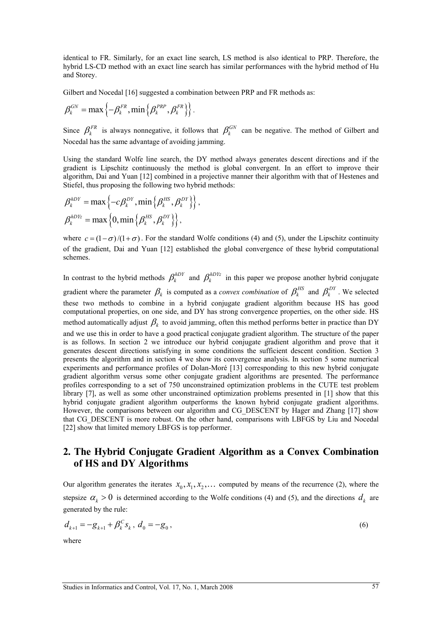identical to FR. Similarly, for an exact line search, LS method is also identical to PRP. Therefore, the hybrid LS-CD method with an exact line search has similar performances with the hybrid method of Hu and Storey.

Gilbert and Nocedal [16] suggested a combination between PRP and FR methods as:

$$
\beta_k^{GN} = \max\left\{-\beta_k^{FR}, \min\left\{\beta_k^{PRP}, \beta_k^{FR}\right\}\right\}.
$$

Since  $\beta_k^{FR}$  is always nonnegative, it follows that  $\beta_k^{GN}$  can be negative. The method of Gilbert and Nocedal has the same advantage of avoiding jamming.

Using the standard Wolfe line search, the DY method always generates descent directions and if the gradient is Lipschitz continuously the method is global convergent. In an effort to improve their algorithm, Dai and Yuan [12] combined in a projective manner their algorithm with that of Hestenes and Stiefel, thus proposing the following two hybrid methods:

$$
\beta_k^{hDY} = \max \left\{ -c\beta_k^{DY}, \min \left\{ \beta_k^{HS}, \beta_k^{DY} \right\} \right\},
$$

$$
\beta_k^{hDYz} = \max \left\{ 0, \min \left\{ \beta_k^{HS}, \beta_k^{DY} \right\} \right\},
$$

where  $c = (1 - \sigma)/(1 + \sigma)$ . For the standard Wolfe conditions (4) and (5), under the Lipschitz continuity of the gradient, Dai and Yuan [12] established the global convergence of these hybrid computational schemes.

In contrast to the hybrid methods  $\beta_k^{hDY}$  and  $\beta_k^{hDYz}$  in this paper we propose another hybrid conjugate gradient where the parameter  $\beta_k$  is computed as a *convex combination* of  $\beta_k^{HS}$  and  $\beta_k^{DY}$ . We selected these two methods to combine in a hybrid conjugate gradient algorithm because HS has good computational properties, on one side, and DY has strong convergence properties, on the other side. HS method automatically adjust  $\beta_k$  to avoid jamming, often this method performs better in practice than DY and we use this in order to have a good practical conjugate gradient algorithm. The structure of the paper is as follows. In section 2 we introduce our hybrid conjugate gradient algorithm and prove that it generates descent directions satisfying in some conditions the sufficient descent condition. Section 3 presents the algorithm and in section 4 we show its convergence analysis. In section 5 some numerical experiments and performance profiles of Dolan-Moré [13] corresponding to this new hybrid conjugate gradient algorithm versus some other conjugate gradient algorithms are presented. The performance profiles corresponding to a set of 750 unconstrained optimization problems in the CUTE test problem library [7], as well as some other unconstrained optimization problems presented in [1] show that this hybrid conjugate gradient algorithm outperforms the known hybrid conjugate gradient algorithms. However, the comparisons between our algorithm and CG\_DESCENT by Hager and Zhang [17] show that CG\_DESCENT is more robust. On the other hand, comparisons with LBFGS by Liu and Nocedal [22] show that limited memory LBFGS is top performer.

# **2. The Hybrid Conjugate Gradient Algorithm as a Convex Combination of HS and DY Algorithms**

Our algorithm generates the iterates  $x_0, x_1, x_2, \ldots$  computed by means of the recurrence (2), where the stepsize  $\alpha_k > 0$  is determined according to the Wolfe conditions (4) and (5), and the directions  $d_k$  are generated by the rule:

$$
d_{k+1} = -g_{k+1} + \beta_k^C s_k, \ d_0 = -g_0, \tag{6}
$$

where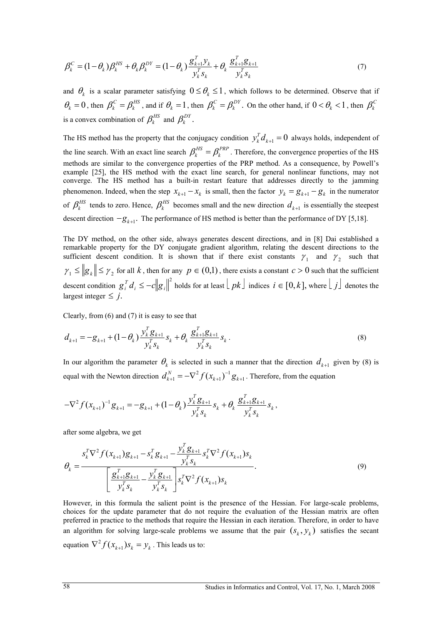$$
\beta_k^C = (1 - \theta_k) \beta_k^{HS} + \theta_k \beta_k^{DY} = (1 - \theta_k) \frac{g_{k+1}^T y_k}{y_k^T s_k} + \theta_k \frac{g_{k+1}^T g_{k+1}}{y_k^T s_k}
$$
(7)

and  $\theta_k$  is a scalar parameter satisfying  $0 \leq \theta_k \leq 1$ , which follows to be determined. Observe that if  $\theta_k = 0$ , then  $\beta_k^C = \beta_k^{HS}$ , and if  $\theta_k = 1$ , then  $\beta_k^C = \beta_k^{DY}$ . On the other hand, if  $0 < \theta_k < 1$ , then  $\beta_k^C$ is a convex combination of  $\beta_k^{HS}$  and  $\beta_k^{DY}$ .

The HS method has the property that the conjugacy condition  $y_k^T d_{k+1} = 0$  always holds, independent of the line search. With an exact line search  $\beta_k^{HS} = \beta_k^{PRP}$ . Therefore, the convergence properties of the HS methods are similar to the convergence properties of the PRP method. As a consequence, by Powell's example [25], the HS method with the exact line search, for general nonlinear functions, may not converge. The HS method has a built-in restart feature that addresses directly to the jamming phenomenon. Indeed, when the step  $x_{k+1} - x_k$  is small, then the factor  $y_k = g_{k+1} - g_k$  in the numerator of  $\beta_k^{HS}$  tends to zero. Hence,  $\beta_k^{HS}$  becomes small and the new direction  $d_{k+1}$  is essentially the steepest descent direction  $-g_{k+1}$ . The performance of HS method is better than the performance of DY [5,18].

The DY method, on the other side, always generates descent directions, and in [8] Dai established a remarkable property for the DY conjugate gradient algorithm, relating the descent directions to the sufficient descent condition. It is shown that if there exist constants  $\gamma_1$  and  $\gamma_2$  such that  $\gamma_1 \leq ||g_k|| \leq \gamma_2$  for all *k*, then for any  $p \in (0,1)$ , there exists a constant  $c > 0$  such that the sufficient descent condition  $g_i^T d_i \leq -c ||g_i||^2$  holds for at least  $\lfloor pk \rfloor$  indices  $i \in [0, k]$ , where  $\lfloor j \rfloor$  denotes the largest integer  $\leq j$ .

Clearly, from (6) and (7) it is easy to see that

$$
d_{k+1} = -g_{k+1} + (1 - \theta_k) \frac{y_k^T g_{k+1}}{y_k^T s_k} s_k + \theta_k \frac{g_{k+1}^T g_{k+1}}{y_k^T s_k} s_k.
$$
\n
$$
(8)
$$

In our algorithm the parameter  $\theta_k$  is selected in such a manner that the direction  $d_{k+1}$  given by (8) is equal with the Newton direction  $d_{k+1}^N = -\nabla^2 f(x_{k+1})^{-1} g_{k+1}$ . Therefore, from the equation

$$
-\nabla^2 f(x_{k+1})^{-1} g_{k+1} = -g_{k+1} + (1-\theta_k) \frac{y_k^T g_{k+1}}{y_k^T s_k} s_k + \theta_k \frac{g_{k+1}^T g_{k+1}}{y_k^T s_k} s_k,
$$

after some algebra, we get

$$
\theta_{k} = \frac{s_{k}^{T} \nabla^{2} f(x_{k+1}) g_{k+1} - s_{k}^{T} g_{k+1} - \frac{y_{k}^{T} g_{k+1}}{y_{k}^{T} s_{k}} s_{k}^{T} \nabla^{2} f(x_{k+1}) s_{k}}{\left[\frac{g_{k+1}^{T} g_{k+1}}{y_{k}^{T} s_{k}} - \frac{y_{k}^{T} g_{k+1}}{y_{k}^{T} s_{k}}\right] s_{k}^{T} \nabla^{2} f(x_{k+1}) s_{k}}.
$$
\n(9)

However, in this formula the salient point is the presence of the Hessian. For large-scale problems, choices for the update parameter that do not require the evaluation of the Hessian matrix are often preferred in practice to the methods that require the Hessian in each iteration. Therefore, in order to have an algorithm for solving large-scale problems we assume that the pair  $(s_k, y_k)$  satisfies the secant equation  $\nabla^2 f(x_{k+1}) s_k = y_k$ . This leads us to: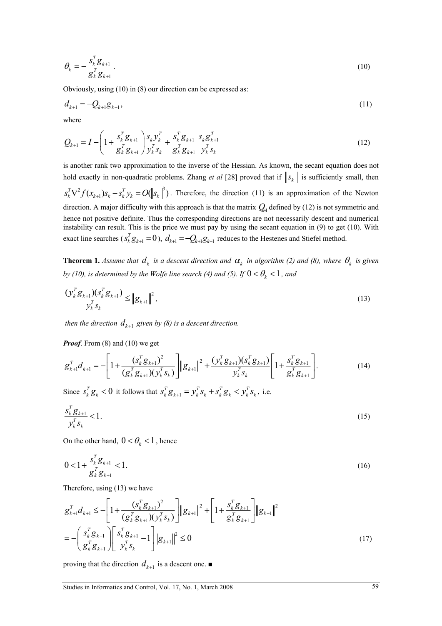$$
\theta_k = -\frac{s_k^T g_{k+1}}{g_k^T g_{k+1}}.\tag{10}
$$

Obviously, using (10) in (8) our direction can be expressed as:

$$
d_{k+1} = -Q_{k+1}g_{k+1},\tag{11}
$$

where

$$
Q_{k+1} = I - \left(1 + \frac{s_k^T g_{k+1}}{g_k^T g_{k+1}}\right) \frac{s_k y_k^T}{y_k^T s_k} + \frac{s_k^T g_{k+1}}{g_k^T g_{k+1}} \frac{s_k g_{k+1}^T}{y_k^T s_k} \tag{12}
$$

is another rank two approximation to the inverse of the Hessian. As known, the secant equation does not hold exactly in non-quadratic problems. Zhang *et al* [28] proved that if  $||s_k||$  is sufficiently small, then  $s_k^T \nabla^2 f(x_{k+1}) s_k - s_k^T y_k = O(||s_k||^3)$ . Therefore, the direction (11) is an approximation of the Newton

direction. A major difficulty with this approach is that the matrix  $Q<sub>H</sub>$  defined by (12) is not symmetric and hence not positive definite. Thus the corresponding directions are not necessarily descent and numerical instability can result. This is the price we must pay by using the secant equation in (9) to get (10). With exact line searches ( $s_k^T g_{k+1} = 0$ ),  $d_{k+1} = -Q_{k+1} g_{k+1}$  reduces to the Hestenes and Stiefel method.

**Theorem 1.** *Assume that*  $d_k$  *is a descent direction and*  $\alpha_k$  *in algorithm (2) and (8), where*  $\theta_k$  *is given by (10), is determined by the Wolfe line search (4) and (5). If*  $0 < \theta_{k} < 1$ *, and* 

$$
\frac{\left(y_k^T g_{k+1}\right)\left(s_k^T g_{k+1}\right)}{y_k^T s_k} \leq \left\|g_{k+1}\right\|^2,\tag{13}
$$

*then the direction*  $d_{k+1}$  *given by (8) is a descent direction.* 

*Proof.* From (8) and (10) we get

$$
g_{k+1}^T d_{k+1} = -\left[1 + \frac{(s_k^T g_{k+1})^2}{(g_k^T g_{k+1})(y_k^T s_k)}\right] \|g_{k+1}\|^2 + \frac{(y_k^T g_{k+1})(s_k^T g_{k+1})}{y_k^T s_k} \left[1 + \frac{s_k^T g_{k+1}}{g_k^T g_{k+1}}\right].
$$
 (14)

Since  $s_k^T g_k < 0$  it follows that  $s_k^T g_{k+1} = y_k^T s_k + s_k^T g_k < y_k^T s_k$ , i.e.

$$
\frac{s_k^T g_{k+1}}{y_k^T s_k} < 1. \tag{15}
$$

On the other hand,  $0 < \theta_k < 1$ , hence

$$
0 < 1 + \frac{s_k^T g_{k+1}}{g_k^T g_{k+1}} < 1. \tag{16}
$$

Therefore, using (13) we have

$$
g_{k+1}^T d_{k+1} \le -\left[1 + \frac{(s_k^T g_{k+1})^2}{(g_k^T g_{k+1})(v_k^T s_k)}\right] \|g_{k+1}\|^2 + \left[1 + \frac{s_k^T g_{k+1}}{g_k^T g_{k+1}}\right] \|g_{k+1}\|^2
$$
  
= 
$$
-\left(\frac{s_k^T g_{k+1}}{g_k^T g_{k+1}}\right) \left[\frac{s_k^T g_{k+1}}{v_k^T s_k} - 1\right] \|g_{k+1}\|^2 \le 0
$$
 (17)

proving that the direction  $d_{k+1}$  is a descent one.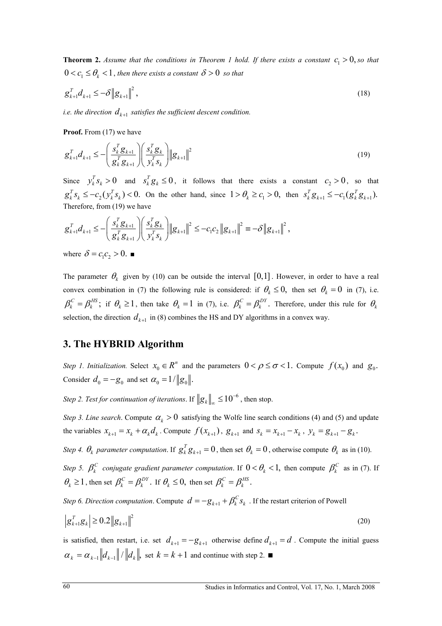**Theorem 2.** *Assume that the conditions in Theorem 1 hold. If there exists a constant*  $c_1 > 0$ , *so that*  $0 < c_1 \leq \theta_k < 1$ , then there exists a constant  $\delta > 0$  so that

$$
g_{k+1}^T d_{k+1} \le -\delta \|g_{k+1}\|^2, \tag{18}
$$

*i.e. the direction*  $d_{k+1}$  *satisfies the sufficient descent condition.* 

Proof. From (17) we have

$$
\mathcal{g}_{k+1}^T \mathcal{d}_{k+1} \le -\left(\frac{s_k^T \mathcal{g}_{k+1}}{\mathcal{g}_k^T \mathcal{g}_{k+1}}\right) \left(\frac{s_k^T \mathcal{g}_k}{y_k^T s_k}\right) \|\mathcal{g}_{k+1}\|^2 \tag{19}
$$

Since  $y_k^T s_k > 0$  and  $s_k^T g_k \le 0$ , it follows that there exists a constant  $c_2 > 0$ , so that  $g_k^T s_k \le -c_2(y_k^T s_k) < 0$ . On the other hand, since  $1 > \theta_k \ge c_1 > 0$ , then  $s_k^T g_{k+1} \le -c_1(g_k^T g_{k+1})$ . Therefore, from (19) we have

$$
g_{k+1}^T d_{k+1} \leq -\left(\frac{s_k^T g_{k+1}}{g_k^T g_{k+1}}\right) \left(\frac{s_k^T g_k}{y_k^T s_k}\right) \|g_{k+1}\|^2 \leq -c_1 c_2 \|g_{k+1}\|^2 = -\delta \|g_{k+1}\|^2,
$$

where  $\delta = c_1 c_2 > 0$ .

The parameter  $\theta_k$  given by (10) can be outside the interval [0,1]. However, in order to have a real convex combination in (7) the following rule is considered: if  $\theta_k \le 0$ , then set  $\theta_k = 0$  in (7), i.e.  $\beta_k^C = \beta_k^{HS}$ ; if  $\theta_k \ge 1$ , then take  $\theta_k = 1$  in (7), i.e.  $\beta_k^C = \beta_k^{DY}$ . Therefore, under this rule for  $\theta_k$ selection, the direction  $d_{k+1}$  in (8) combines the HS and DY algorithms in a convex way.

#### **3. The HYBRID Algorithm**

*Step 1. Initialization.* Select  $x_0 \in R^n$  and the parameters  $0 < \rho \le \sigma < 1$ . Compute  $f(x_0)$  and  $g_0$ . Consider  $d_0 = -g_0$  and set  $\alpha_0 = 1/||g_0||$ .

*Step 2. Test for continuation of iterations.* If  $||g_k||_{\infty} \le 10^{-6}$ , then stop.

*Step 3. Line search.* Compute  $\alpha_k > 0$  satisfying the Wolfe line search conditions (4) and (5) and update the variables  $x_{k+1} = x_k + \alpha_k d_k$ . Compute  $f(x_{k+1})$ ,  $g_{k+1}$  and  $s_k = x_{k+1} - x_k$ ,  $y_k = g_{k+1} - g_k$ .

*Step 4.*  $\theta_k$  *parameter computation.* If  $g_k^T g_{k+1} = 0$ , then set  $\theta_k = 0$ , otherwise compute  $\theta_k$  as in (10).

*Step 5.*  $\beta_k^C$  *conjugate gradient parameter computation.* If  $0 < \theta_k < 1$ , then compute  $\beta_k^C$  as in (7). If  $\theta_k \geq 1$ , then set  $\beta_k^C = \beta_k^{DY}$ . If  $\theta_k \leq 0$ , then set  $\beta_k^C = \beta_k^{HS}$ .

*Step 6. Direction computation.* Compute  $d = -g_{k+1} + \beta_k^C s_k$ . If the restart criterion of Powell

$$
\left|g_{k+1}^T g_k\right| \ge 0.2 \left\|g_{k+1}\right\|^2 \tag{20}
$$

is satisfied, then restart, i.e. set  $d_{k+1} = -g_{k+1}$  otherwise define  $d_{k+1} = d$ . Compute the initial guess  $\alpha_k = \alpha_{k-1} ||d_{k-1}|| / ||d_k||$ , set  $k = k+1$  and continue with step 2.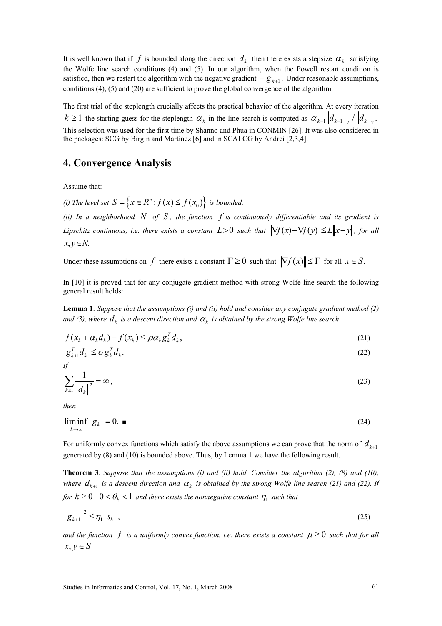It is well known that if f is bounded along the direction  $d_k$  then there exists a stepsize  $\alpha_k$  satisfying the Wolfe line search conditions (4) and (5). In our algorithm, when the Powell restart condition is satisfied, then we restart the algorithm with the negative gradient  $-g_{k+1}$ . Under reasonable assumptions, conditions (4), (5) and (20) are sufficient to prove the global convergence of the algorithm.

The first trial of the steplength crucially affects the practical behavior of the algorithm. At every iteration  $k \ge 1$  the starting guess for the steplength  $\alpha_k$  in the line search is computed as  $\alpha_{k-1} ||d_{k-1}||_2 / ||d_k||_2$ . This selection was used for the first time by Shanno and Phua in CONMIN [26]. It was also considered in the packages: SCG by Birgin and Martínez [6] and in SCALCG by Andrei [2,3,4].

#### **4. Convergence Analysis**

Assume that:

*(i) The level set*  $S = \{x \in R^n : f(x) \le f(x_0)\}$  *is bounded.* 

*(ii) In a neighborhood N of S , the function f is continuously differentiable and its gradient is Lipschitz continuous, i.e. there exists a constant*  $L>0$  *such that*  $\|\nabla f(x) - \nabla f(y)\| \le L \|x - y\|$ *, for all*  $x, y \in N$ .

Under these assumptions on *f* there exists a constant  $\Gamma \ge 0$  such that  $\|\nabla f(x)\| \le \Gamma$  for all  $x \in S$ .

In [10] it is proved that for any conjugate gradient method with strong Wolfe line search the following general result holds:

**Lemma 1**. *Suppose that the assumptions (i) and (ii) hold and consider any conjugate gradient method (2) and (3), where*  $d_k$  *is a descent direction and*  $\alpha_k$  *is obtained by the strong Wolfe line search* 

$$
f(x_k + \alpha_k d_k) - f(x_k) \le \rho \alpha_k g_k^T d_k, \tag{21}
$$

$$
\left| \mathbf{g}_{k+1}^T \mathbf{d}_k \right| \leq \sigma \mathbf{g}_k^T \mathbf{d}_k. \tag{22}
$$

$$
\sum_{k\geq 1} \frac{1}{\left\|d_k\right\|^2} = \infty\,,\tag{23}
$$

*then* 

$$
\liminf_{k \to \infty} \|g_k\| = 0. \tag{24}
$$

For uniformly convex functions which satisfy the above assumptions we can prove that the norm of  $d_{k+1}$ generated by (8) and (10) is bounded above. Thus, by Lemma 1 we have the following result.

**Theorem 3**. *Suppose that the assumptions (i) and (ii) hold. Consider the algorithm (2), (8) and (10), where*  $d_{k+1}$  *is a descent direction and*  $\alpha_k$  *is obtained by the strong Wolfe line search (21) and (22). If for*  $k \geq 0$ ,  $0 < \theta_k < 1$  *and there exists the nonnegative constant*  $\eta_1$  *such that* 

$$
\|\mathbf{g}_{k+1}\|^2 \le \eta_1 \|\mathbf{s}_k\|,\tag{25}
$$

*and the function f is a uniformly convex function, i.e. there exists a constant*  $\mu \geq 0$  *such that for all*  $x, y \in S$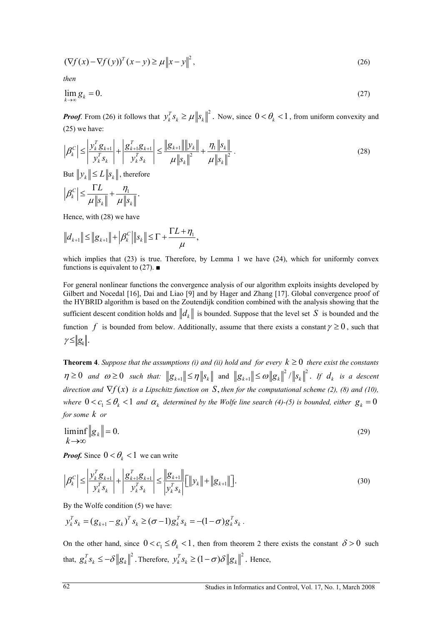$$
\left(\nabla f(x) - \nabla f(y)\right)^T (x - y) \ge \mu \|x - y\|^2,
$$
\n(26)

*then* 

$$
\lim_{k \to \infty} g_k = 0. \tag{27}
$$

*Proof.* From (26) it follows that  $y_k^T s_k \ge \mu \|s_k\|^2$ . Now, since  $0 < \theta_k < 1$ , from uniform convexity and (25) we have:

$$
\left| \beta_k^C \right| \le \left| \frac{y_k^T g_{k+1}}{y_k^T s_k} \right| + \left| \frac{g_{k+1}^T g_{k+1}}{y_k^T s_k} \right| \le \frac{\left\| g_{k+1} \right\| \left\| y_k \right\|}{\mu \left\| s_k \right\|^2} + \frac{\eta_1 \left\| s_k \right\|}{\mu \left\| s_k \right\|^2} \,. \tag{28}
$$

But  $\|y_k\| \le L \|s_k\|$ , therefore

$$
\left|\beta_{k}^{C}\right| \leq \frac{\Gamma L}{\mu\left\|s_{k}\right\|} + \frac{\eta_{1}}{\mu\left\|s_{k}\right\|}.
$$

Hence, with (28) we have

$$
||d_{k+1}|| \leq ||g_{k+1}|| + | \beta_k^C |||s_k|| \leq \Gamma + \frac{\Gamma L + \eta_1}{\mu},
$$

which implies that  $(23)$  is true. Therefore, by Lemma 1 we have  $(24)$ , which for uniformly convex functions is equivalent to (27).  $\blacksquare$ 

For general nonlinear functions the convergence analysis of our algorithm exploits insights developed by Gilbert and Nocedal [16], Dai and Liao [9] and by Hager and Zhang [17]. Global convergence proof of the HYBRID algorithm is based on the Zoutendijk condition combined with the analysis showing that the sufficient descent condition holds and  $\|d_k\|$  is bounded. Suppose that the level set S is bounded and the function f is bounded from below. Additionally, assume that there exists a constant  $\gamma \ge 0$ , such that  $\gamma \leq |g_k|$ .

**Theorem 4**. *Suppose that the assumptions (i) and (ii) hold and for every*  $k \geq 0$  *there exist the constants*  $\eta \geq 0$  and  $\omega \geq 0$  such that:  $||g_{k+1}|| \leq \eta ||s_k||$  and  $||g_{k+1}|| \leq \omega ||g_k||^2 / ||s_k||^2$ . If  $d_k$  is a descent *direction and*  $\nabla f(x)$  *is a Lipschitz function on* S, *then for the computational scheme (2), (8) and (10), where*  $0 < c_1 \le \theta_k < 1$  *and*  $\alpha_k$  *determined by the Wolfe line search* (4)-(5) *is bounded, either*  $g_k = 0$ *for some k or*

$$
\liminf_{k \to \infty} \|g_k\| = 0. \tag{29}
$$

*Proof.* Since  $0 < \theta_k < 1$  we can write

$$
\left| \beta_k^C \right| \le \left| \frac{y_k^T g_{k+1}}{y_k^T s_k} \right| + \left| \frac{g_{k+1}^T g_{k+1}}{y_k^T s_k} \right| \le \left| \frac{g_{k+1}}{y_k^T s_k} \right| \left[ \left\| y_k \right\| + \left\| g_{k+1} \right\| \right]. \tag{30}
$$

By the Wolfe condition (5) we have:

$$
y_k^T s_k = (g_{k+1} - g_k)^T s_k \ge (\sigma - 1) g_k^T s_k = -(1 - \sigma) g_k^T s_k.
$$

On the other hand, since  $0 < c_1 \le \theta_k < 1$ , then from theorem 2 there exists the constant  $\delta > 0$  such that,  $g_k^T s_k \leq -\delta ||g_k||^2$ . Therefore,  $y_k^T s_k \geq (1-\sigma)\delta ||g_k||^2$ . Hence,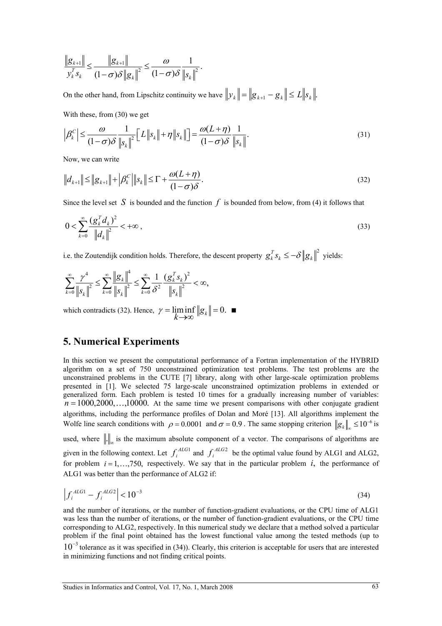$$
\frac{\left\|g_{k+1}\right\|}{\nu_k^T s_k} \leq \frac{\left\|g_{k+1}\right\|}{(1-\sigma)\delta\left\|g_k\right\|^2} \leq \frac{\omega}{(1-\sigma)\delta} \frac{1}{\left\|s_k\right\|^2}.
$$

On the other hand, from Lipschitz continuity we have  $||y_k|| = ||g_{k+1} - g_k|| \le L ||s_k||$ .

With these, from (30) we get

$$
\left|\beta_{k}^{C}\right| \leq \frac{\omega}{(1-\sigma)\delta} \frac{1}{\left\|s_{k}\right\|^{2}} \left[L\left\|s_{k}\right\| + \eta\left\|s_{k}\right\|\right] = \frac{\omega(L+\eta)}{(1-\sigma)\delta} \frac{1}{\left\|s_{k}\right\|}.
$$
\n(31)

Now, we can write

$$
||d_{k+1}|| \le ||g_{k+1}|| + |\beta_k^C|| ||s_k|| \le \Gamma + \frac{\omega(L+\eta)}{(1-\sigma)\delta}.
$$
\n(32)

Since the level set S is bounded and the function  $f$  is bounded from below, from (4) it follows that

$$
0 < \sum_{k=0}^{\infty} \frac{\left(g_k^T d_k\right)^2}{\left\|d_k\right\|^2} < +\infty \,, \tag{33}
$$

i.e. the Zoutendijk condition holds. Therefore, the descent property  $g_k^T s_k \le -\delta ||g_k||^2$  yields:

$$
\sum_{k=0}^{\infty} \frac{\gamma^4}{\|s_k\|^2} \le \sum_{k=0}^{\infty} \frac{\|g_k\|^4}{\|s_k\|^2} \le \sum_{k=0}^{\infty} \frac{1}{\delta^2} \frac{\left(g_k^T s_k\right)^2}{\|s_k\|^2} < \infty,
$$

which contradicts (32). Hence,  $\gamma = \liminf_{k \to \infty} ||g_k|| = 0$ .

#### **5. Numerical Experiments**

In this section we present the computational performance of a Fortran implementation of the HYBRID algorithm on a set of 750 unconstrained optimization test problems. The test problems are the unconstrained problems in the CUTE [7] library, along with other large-scale optimization problems presented in [1]. We selected 75 large-scale unconstrained optimization problems in extended or generalized form. Each problem is tested 10 times for a gradually increasing number of variables:  $n = 1000, 2000, \ldots, 10000$ . At the same time we present comparisons with other conjugate gradient algorithms, including the performance profiles of Dolan and Moré [13]. All algorithms implement the Wolfe line search conditions with  $\rho = 0.0001$  and  $\sigma = 0.9$ . The same stopping criterion  $||g_k||_{\infty} \le 10^{-6}$  is used, where  $\| \cdot \|_{\infty}$  is the maximum absolute component of a vector. The comparisons of algorithms are given in the following context. Let  $f_i^{ALG1}$  and  $f_i^{ALG2}$  be the optimal value found by ALG1 and ALG2,

for problem  $i = 1, \ldots, 750$ , respectively. We say that in the particular problem  $i$ , the performance of ALG1 was better than the performance of ALG2 if:

$$
\left| f_i^{\text{ALG1}} - f_i^{\text{ALG2}} \right| < 10^{-3} \tag{34}
$$

and the number of iterations, or the number of function-gradient evaluations, or the CPU time of ALG1 was less than the number of iterations, or the number of function-gradient evaluations, or the CPU time corresponding to ALG2, respectively. In this numerical study we declare that a method solved a particular problem if the final point obtained has the lowest functional value among the tested methods (up to  $10^{-3}$  tolerance as it was specified in (34)). Clearly, this criterion is acceptable for users that are interested in minimizing functions and not finding critical points.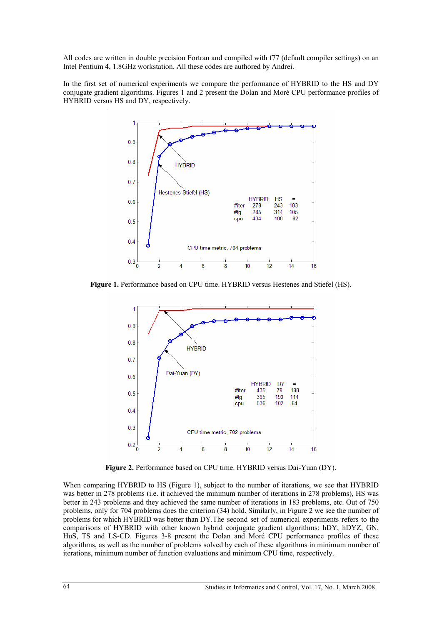All codes are written in double precision Fortran and compiled with f77 (default compiler settings) on an Intel Pentium 4, 1.8GHz workstation. All these codes are authored by Andrei.

In the first set of numerical experiments we compare the performance of HYBRID to the HS and DY conjugate gradient algorithms. Figures 1 and 2 present the Dolan and Moré CPU performance profiles of HYBRID versus HS and DY, respectively.



**Figure 1.** Performance based on CPU time. HYBRID versus Hestenes and Stiefel (HS).



**Figure 2.** Performance based on CPU time. HYBRID versus Dai-Yuan (DY).

When comparing HYBRID to HS (Figure 1), subject to the number of iterations, we see that HYBRID was better in 278 problems (i.e. it achieved the minimum number of iterations in 278 problems), HS was better in 243 problems and they achieved the same number of iterations in 183 problems, etc. Out of 750 problems, only for 704 problems does the criterion (34) hold. Similarly, in Figure 2 we see the number of problems for which HYBRID was better than DY.The second set of numerical experiments refers to the comparisons of HYBRID with other known hybrid conjugate gradient algorithms: hDY, hDYZ, GN, HuS, TS and LS-CD. Figures 3-8 present the Dolan and Moré CPU performance profiles of these algorithms, as well as the number of problems solved by each of these algorithms in minimum number of iterations, minimum number of function evaluations and minimum CPU time, respectively.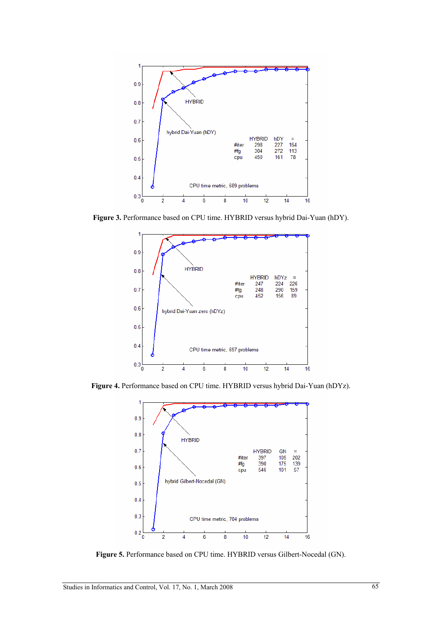

**Figure 3.** Performance based on CPU time. HYBRID versus hybrid Dai-Yuan (hDY).



**Figure 4.** Performance based on CPU time. HYBRID versus hybrid Dai-Yuan (hDYz).



**Figure 5.** Performance based on CPU time. HYBRID versus Gilbert-Nocedal (GN).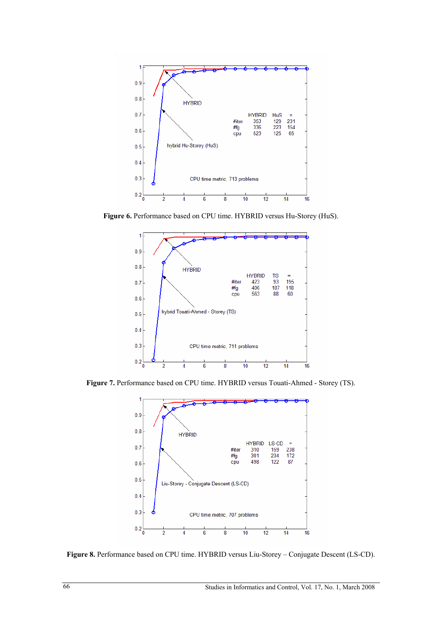

Figure 6. Performance based on CPU time. HYBRID versus Hu-Storey (HuS).



**Figure 7.** Performance based on CPU time. HYBRID versus Touati-Ahmed - Storey (TS).



**Figure 8.** Performance based on CPU time. HYBRID versus Liu-Storey – Conjugate Descent (LS-CD).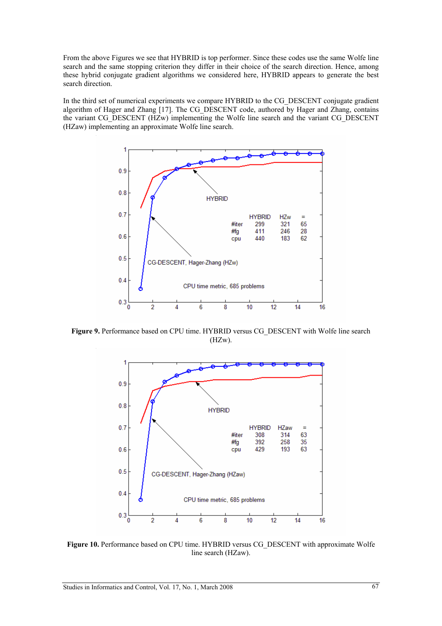From the above Figures we see that HYBRID is top performer. Since these codes use the same Wolfe line search and the same stopping criterion they differ in their choice of the search direction. Hence, among these hybrid conjugate gradient algorithms we considered here, HYBRID appears to generate the best search direction.

In the third set of numerical experiments we compare HYBRID to the CG\_DESCENT conjugate gradient algorithm of Hager and Zhang [17]. The CG\_DESCENT code, authored by Hager and Zhang, contains the variant CG\_DESCENT (HZw) implementing the Wolfe line search and the variant CG\_DESCENT (HZaw) implementing an approximate Wolfe line search.



**Figure 9.** Performance based on CPU time. HYBRID versus CG\_DESCENT with Wolfe line search (HZw).



**Figure 10.** Performance based on CPU time. HYBRID versus CG\_DESCENT with approximate Wolfe line search (HZaw).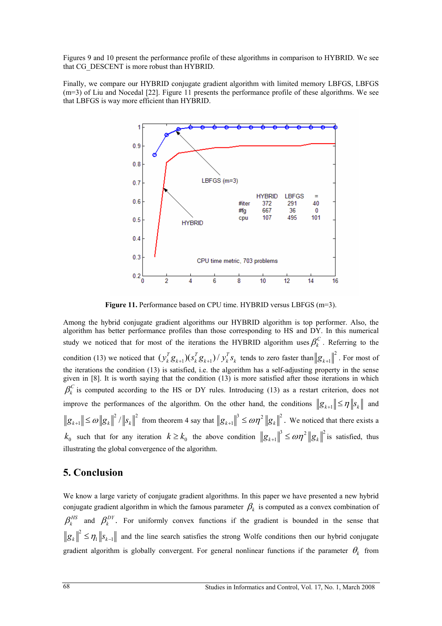Figures 9 and 10 present the performance profile of these algorithms in comparison to HYBRID. We see that CG\_DESCENT is more robust than HYBRID.

Finally, we compare our HYBRID conjugate gradient algorithm with limited memory LBFGS, LBFGS (m=3) of Liu and Nocedal [22]. Figure 11 presents the performance profile of these algorithms. We see that LBFGS is way more efficient than HYBRID.



Figure 11. Performance based on CPU time. HYBRID versus LBFGS (m=3).

Among the hybrid conjugate gradient algorithms our HYBRID algorithm is top performer. Also, the algorithm has better performance profiles than those corresponding to HS and DY. In this numerical study we noticed that for most of the iterations the HYBRID algorithm uses  $\beta_k^C$ . Referring to the condition (13) we noticed that  $\left(\mathbf{y}_{k}^{T}\mathbf{g}_{k+1}\right)\left(\mathbf{y}_{k}^{T}\mathbf{g}_{k+1}\right) / \mathbf{y}_{k}^{T}\mathbf{s}_{k}$  tends to zero faster than  $\left\|\mathbf{g}_{k+1}\right\|^{2}$ . For most of the iterations the condition (13) is satisfied, i.e. the algorithm has a self-adjusting property in the sense given in [8]. It is worth saying that the condition (13) is more satisfied after those iterations in which  $\beta_k^C$  is computed according to the HS or DY rules. Introducing (13) as a restart criterion, does not improve the performances of the algorithm. On the other hand, the conditions  $||g_{k+1}|| \leq \eta ||s_k||$  and  $\|g_{k+1}\| \le \omega \|g_k\|^2$  /  $\|s_k\|^2$  from theorem 4 say that  $\|g_{k+1}\|^3 \le \omega \eta^2 \|g_k\|^2$ . We noticed that there exists a  $k_0$  such that for any iteration  $k \ge k_0$  the above condition  $||g_{k+1}||^3 \le \omega \eta^2 ||g_k||^2$  is satisfied, thus illustrating the global convergence of the algorithm.

## **5. Conclusion**

We know a large variety of conjugate gradient algorithms. In this paper we have presented a new hybrid conjugate gradient algorithm in which the famous parameter  $\beta_k$  is computed as a convex combination of  $\beta_k^{HS}$  and  $\beta_k^{DY}$ . For uniformly convex functions if the gradient is bounded in the sense that  $g_k \rVert^2 \leq \eta_1 \|s_{k-1}\|$  and the line search satisfies the strong Wolfe conditions then our hybrid conjugate gradient algorithm is globally convergent. For general nonlinear functions if the parameter  $\theta_k$  from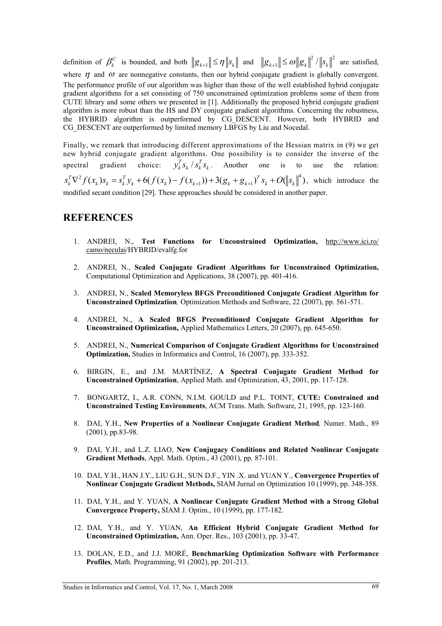definition of  $\beta_k^C$  is bounded, and both  $||g_{k+1}|| \leq \eta ||s_k||$  and  $||g_{k+1}|| \leq \omega ||g_k||^2 / ||s_k||^2$  are satisfied, where  $\eta$  and  $\omega$  are nonnegative constants, then our hybrid conjugate gradient is globally convergent. The performance profile of our algorithm was higher than those of the well established hybrid conjugate gradient algorithms for a set consisting of 750 unconstrained optimization problems some of them from CUTE library and some others we presented in [1]. Additionally the proposed hybrid conjugate gradient algorithm is more robust than the HS and DY conjugate gradient algorithms. Concerning the robustness, the HYBRID algorithm is outperformed by CG\_DESCENT. However, both HYBRID and CG\_DESCENT are outperformed by limited memory LBFGS by Liu and Nocedal.

Finally, we remark that introducing different approximations of the Hessian matrix in (9) we get new hybrid conjugate gradient algorithms. One possibility is to consider the inverse of the spectral gradient choice:  $y_k^T s_k / s_k^T s_k$ . Another one is to use the relation:  $s_k^T \nabla^2 f(x_k) s_k = s_k^T y_k + 6(f(x_k) - f(x_{k+1})) + 3(g_k + g_{k+1})^T s_k + O(|x_k|^4)$ , which introduce the modified secant condition [29]. These approaches should be considered in another paper.

## **REFERENCES**

- 1. ANDREI, N., **Test Functions for Unconstrained Optimization,** http://www.ici.ro/ camo/neculai/HYBRID/evalfg.for
- 2. ANDREI, N., **Scaled Conjugate Gradient Algorithms for Unconstrained Optimization,** Computational Optimization and Applications, 38 (2007), pp. 401-416.
- 3. ANDREI, N., **Scaled Memoryless BFGS Preconditioned Conjugate Gradient Algorithm for Unconstrained Optimization***,* Optimization Methods and Software, 22 (2007), pp. 561-571.
- 4. ANDREI, N., **A Scaled BFGS Preconditioned Conjugate Gradient Algorithm for Unconstrained Optimization,** Applied Mathematics Letters, 20 (2007), pp. 645-650.
- 5. ANDREI, N., **Numerical Comparison of Conjugate Gradient Algorithms for Unconstrained Optimization,** Studies in Informatics and Control, 16 (2007), pp. 333-352.
- 6. BIRGIN, E., and J.M. MARTÍNEZ, **A Spectral Conjugate Gradient Method for Unconstrained Optimization**, Applied Math. and Optimization, 43, 2001, pp. 117-128.
- 7. BONGARTZ, I., A.R. CONN, N.I.M. GOULD and P.L. TOINT, **CUTE: Constrained and Unconstrained Testing Environments**, ACM Trans. Math. Software, 21, 1995, pp. 123-160.
- 8. DAI, Y.H., **New Properties of a Nonlinear Conjugate Gradient Method***,* Numer. Math., 89 (2001), pp.83-98.
- 9. DAI, Y.H., and L.Z. LIAO, **New Conjugacy Conditions and Related Nonlinear Conjugate Gradient Methods**, Appl. Math. Optim., 43 (2001), pp. 87-101.
- 10. DAI, Y.H., HAN J.Y., LIU G.H., SUN D.F., YIN .X. and YUAN Y., **Convergence Properties of Nonlinear Conjugate Gradient Methods,** SIAM Jurnal on Optimization 10 (1999), pp. 348-358.
- 11. DAI, Y.H., and Y. YUAN, **A Nonlinear Conjugate Gradient Method with a Strong Global Convergence Property,** SIAM J. Optim., 10 (1999), pp. 177-182.
- 12. DAI, Y.H., and Y. YUAN, **An Efficient Hybrid Conjugate Gradient Method for Unconstrained Optimization,** Ann. Oper. Res., 103 (2001), pp. 33-47.
- 13. DOLAN, E.D., and J.J. MORÉ, **Benchmarking Optimization Software with Performance Profiles**, Math. Programming, 91 (2002), pp. 201-213.